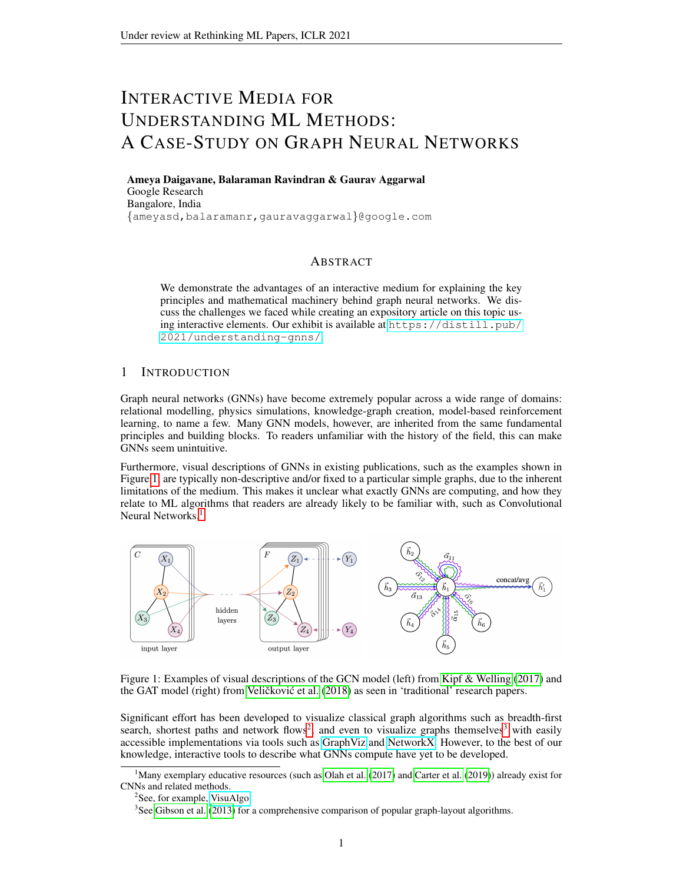# INTERACTIVE MEDIA FOR UNDERSTANDING ML METHODS: A CASE-STUDY ON GRAPH NEURAL NETWORKS

Ameya Daigavane, Balaraman Ravindran & Gaurav Aggarwal Google Research Bangalore, India {ameyasd,balaramanr,gauravaggarwal}@google.com

### ABSTRACT

We demonstrate the advantages of an interactive medium for explaining the key principles and mathematical machinery behind graph neural networks. We discuss the challenges we faced while creating an expository article on this topic using interactive elements. Our exhibit is available at [https://distill.pub/](https://distill.pub/2021/understanding-gnns/) [2021/understanding-gnns/](https://distill.pub/2021/understanding-gnns/).

## 1 INTRODUCTION

Graph neural networks (GNNs) have become extremely popular across a wide range of domains: relational modelling, physics simulations, knowledge-graph creation, model-based reinforcement learning, to name a few. Many GNN models, however, are inherited from the same fundamental principles and building blocks. To readers unfamiliar with the history of the field, this can make GNNs seem unintuitive.

Furthermore, visual descriptions of GNNs in existing publications, such as the examples shown in Figure [1,](#page-0-0) are typically non-descriptive and/or fixed to a particular simple graphs, due to the inherent limitations of the medium. This makes it unclear what exactly GNNs are computing, and how they relate to ML algorithms that readers are already likely to be familiar with, such as Convolutional Neural Networks.<sup>[1](#page-0-1)</sup>



<span id="page-0-0"></span>Figure 1: Examples of visual descriptions of the GCN model (left) from [Kipf & Welling](#page-9-0) [\(2017\)](#page-9-0) and the GAT model (right) from Veličković et al. [\(2018\)](#page-9-1) as seen in 'traditional' research papers.

Significant effort has been developed to visualize classical graph algorithms such as breadth-first search, shortest paths and network flows<sup>[2](#page-0-2)</sup>, and even to visualize graphs themselves<sup>[3](#page-0-3)</sup> with easily accessible implementations via tools such as [GraphViz](https://graphviz.org/) and [NetworkX.](https://networkx.org/) However, to the best of our knowledge, interactive tools to describe what GNNs compute have yet to be developed.

<span id="page-0-1"></span><sup>1</sup>Many exemplary educative resources (such as [Olah et al.](#page-9-2) [\(2017\)](#page-9-2) and [Carter et al.](#page-9-3) [\(2019\)](#page-9-3)) already exist for CNNs and related methods.

<span id="page-0-2"></span><sup>&</sup>lt;sup>2</sup>See, for example, [VisuAlgo.](https://visualgo.net/en)

<span id="page-0-3"></span> $3$ See [Gibson et al.](#page-9-4) [\(2013\)](#page-9-4) for a comprehensive comparison of popular graph-layout algorithms.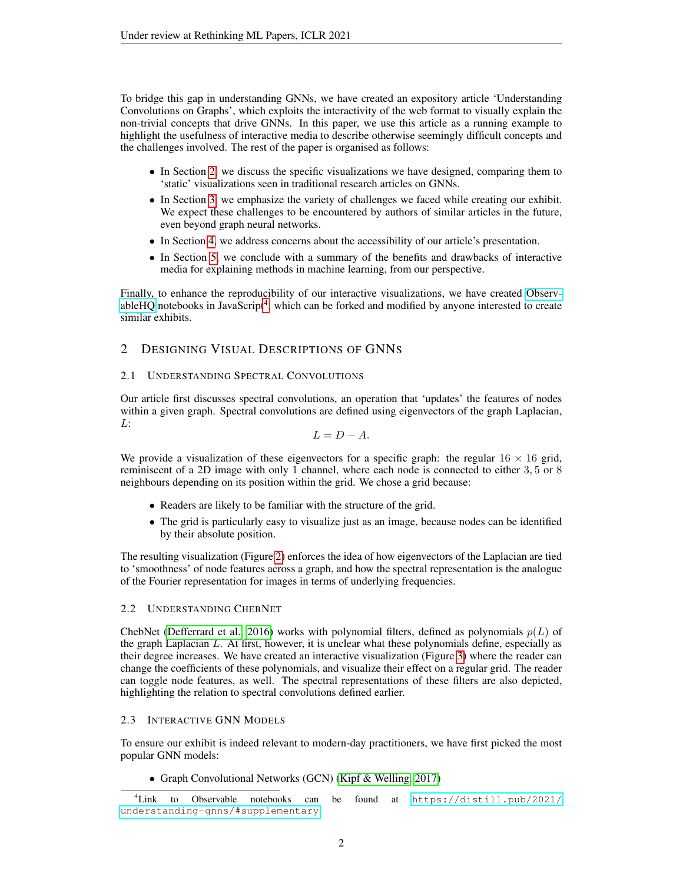To bridge this gap in understanding GNNs, we have created an expository article 'Understanding Convolutions on Graphs', which exploits the interactivity of the web format to visually explain the non-trivial concepts that drive GNNs. In this paper, we use this article as a running example to highlight the usefulness of interactive media to describe otherwise seemingly difficult concepts and the challenges involved. The rest of the paper is organised as follows:

- In Section [2,](#page-1-0) we discuss the specific visualizations we have designed, comparing them to 'static' visualizations seen in traditional research articles on GNNs.
- In Section [3,](#page-7-0) we emphasize the variety of challenges we faced while creating our exhibit. We expect these challenges to be encountered by authors of similar articles in the future, even beyond graph neural networks.
- In Section [4,](#page-7-1) we address concerns about the accessibility of our article's presentation.
- In Section [5,](#page-8-0) we conclude with a summary of the benefits and drawbacks of interactive media for explaining methods in machine learning, from our perspective.

Finally, to enhance the reproducibility of our interactive visualizations, we have created [Observ](https://observablehq.com/)[ableHQ](https://observablehq.com/) notebooks in JavaScript<sup>[4](#page-1-1)</sup>, which can be forked and modified by anyone interested to create similar exhibits.

# <span id="page-1-0"></span>2 DESIGNING VISUAL DESCRIPTIONS OF GNNS

## 2.1 UNDERSTANDING SPECTRAL CONVOLUTIONS

Our article first discusses spectral convolutions, an operation that 'updates' the features of nodes within a given graph. Spectral convolutions are defined using eigenvectors of the graph Laplacian, L:

$$
L=D-A.
$$

We provide a visualization of these eigenvectors for a specific graph: the regular  $16 \times 16$  grid, reminiscent of a 2D image with only 1 channel, where each node is connected to either 3, 5 or 8 neighbours depending on its position within the grid. We chose a grid because:

- Readers are likely to be familiar with the structure of the grid.
- The grid is particularly easy to visualize just as an image, because nodes can be identified by their absolute position.

The resulting visualization (Figure [2\)](#page-2-0) enforces the idea of how eigenvectors of the Laplacian are tied to 'smoothness' of node features across a graph, and how the spectral representation is the analogue of the Fourier representation for images in terms of underlying frequencies.

# 2.2 UNDERSTANDING CHEBNET

ChebNet [\(Defferrard et al., 2016\)](#page-9-5) works with polynomial filters, defined as polynomials  $p(L)$  of the graph Laplacian  $L$ . At first, however, it is unclear what these polynomials define, especially as their degree increases. We have created an interactive visualization (Figure [3\)](#page-3-0) where the reader can change the coefficients of these polynomials, and visualize their effect on a regular grid. The reader can toggle node features, as well. The spectral representations of these filters are also depicted, highlighting the relation to spectral convolutions defined earlier.

# 2.3 INTERACTIVE GNN MODELS

To ensure our exhibit is indeed relevant to modern-day practitioners, we have first picked the most popular GNN models:

• Graph Convolutional Networks (GCN) [\(Kipf & Welling, 2017\)](#page-9-0)

<span id="page-1-1"></span><sup>4</sup>Link to Observable notebooks can be found at [https://distill.pub/2021/](https://distill.pub/2021/understanding-gnns/#supplementary) [understanding-gnns/#supplementary](https://distill.pub/2021/understanding-gnns/#supplementary).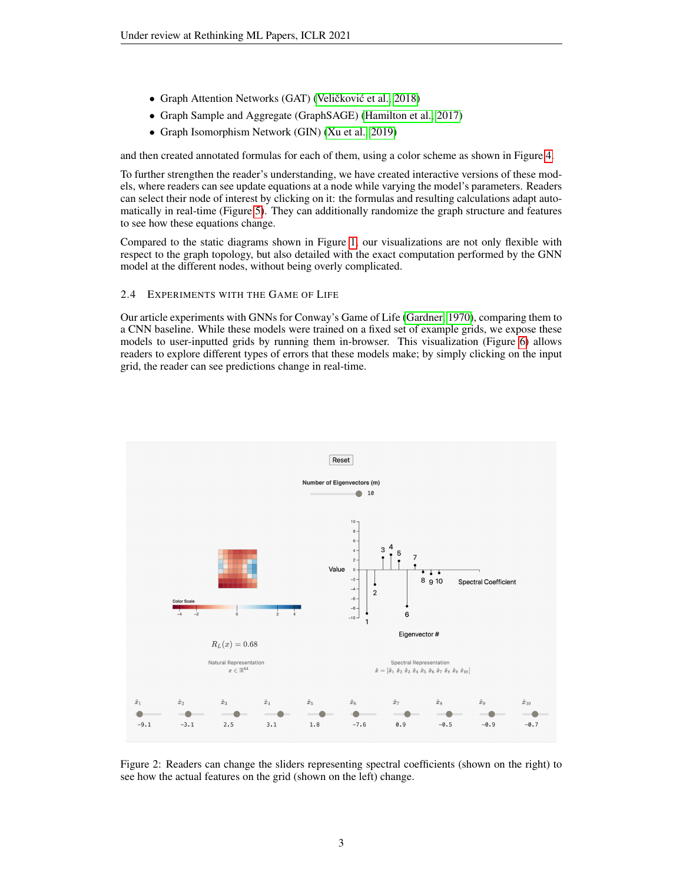- Graph Attention Networks (GAT) (Veličković et al., [2018\)](#page-9-1)
- Graph Sample and Aggregate (GraphSAGE) [\(Hamilton et al., 2017\)](#page-9-6)
- Graph Isomorphism Network (GIN) [\(Xu et al., 2019\)](#page-9-7)

and then created annotated formulas for each of them, using a color scheme as shown in Figure [4.](#page-4-0)

To further strengthen the reader's understanding, we have created interactive versions of these models, where readers can see update equations at a node while varying the model's parameters. Readers can select their node of interest by clicking on it: the formulas and resulting calculations adapt automatically in real-time (Figure [5\)](#page-5-0). They can additionally randomize the graph structure and features to see how these equations change.

Compared to the static diagrams shown in Figure [1,](#page-0-0) our visualizations are not only flexible with respect to the graph topology, but also detailed with the exact computation performed by the GNN model at the different nodes, without being overly complicated.

#### 2.4 EXPERIMENTS WITH THE GAME OF LIFE

Our article experiments with GNNs for Conway's Game of Life [\(Gardner, 1970\)](#page-9-8), comparing them to a CNN baseline. While these models were trained on a fixed set of example grids, we expose these models to user-inputted grids by running them in-browser. This visualization (Figure [6\)](#page-6-0) allows readers to explore different types of errors that these models make; by simply clicking on the input grid, the reader can see predictions change in real-time.



<span id="page-2-0"></span>Figure 2: Readers can change the sliders representing spectral coefficients (shown on the right) to see how the actual features on the grid (shown on the left) change.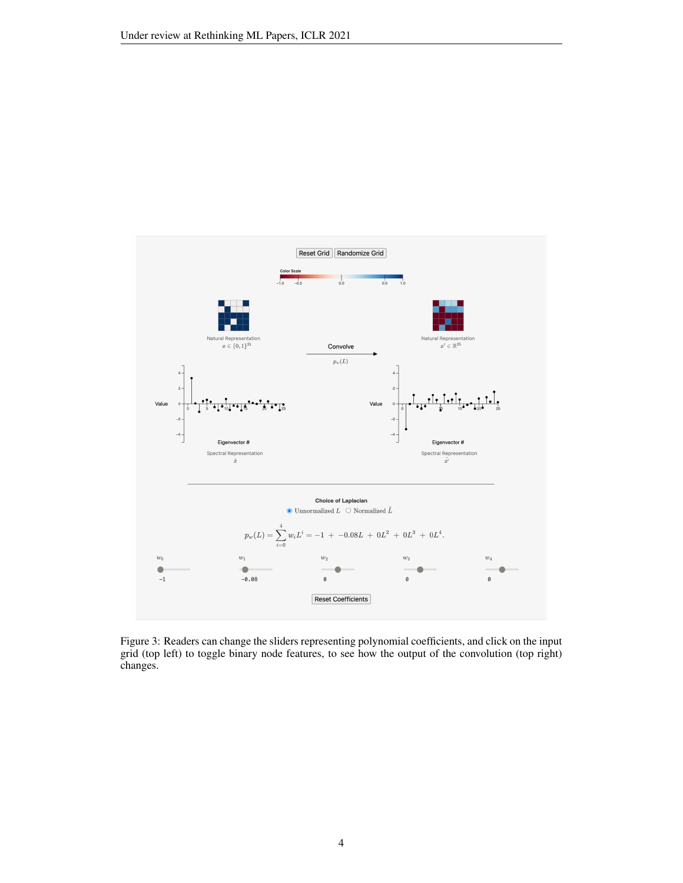

<span id="page-3-0"></span>Figure 3: Readers can change the sliders representing polynomial coefficients, and click on the input grid (top left) to toggle binary node features, to see how the output of the convolution (top right) changes.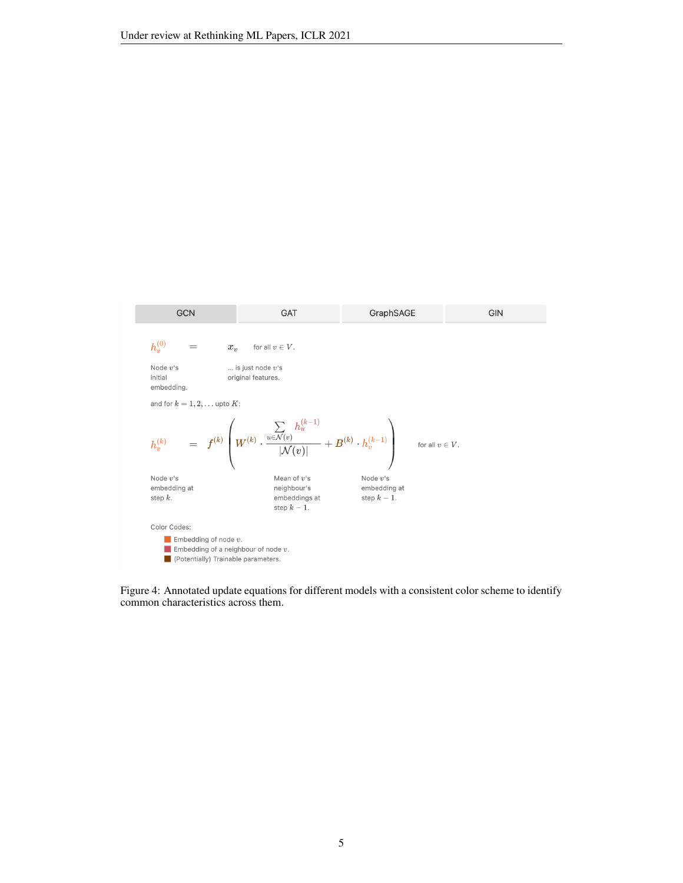

<span id="page-4-0"></span>Figure 4: Annotated update equations for different models with a consistent color scheme to identify common characteristics across them.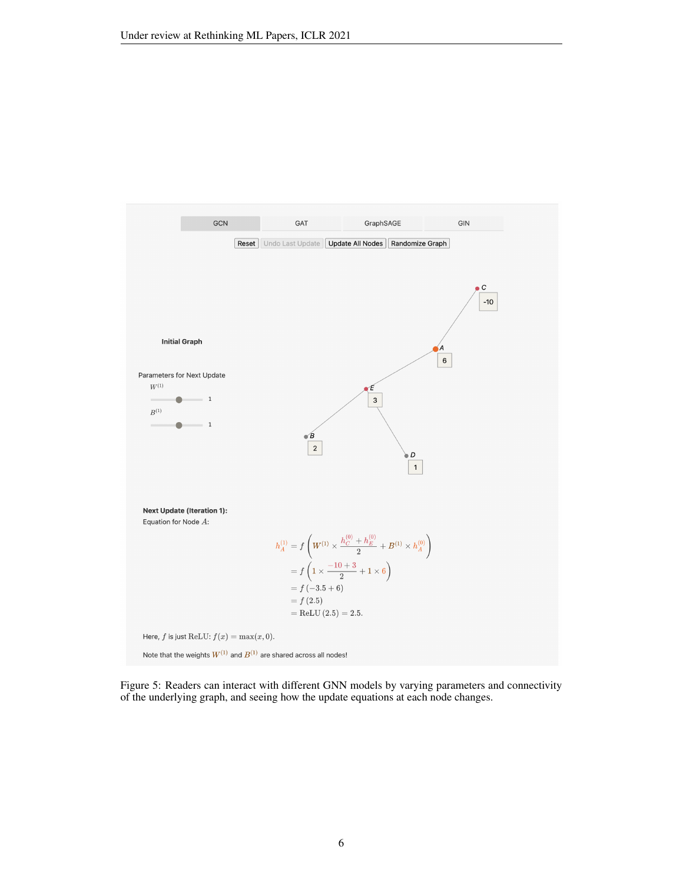

<span id="page-5-0"></span>Figure 5: Readers can interact with different GNN models by varying parameters and connectivity of the underlying graph, and seeing how the update equations at each node changes.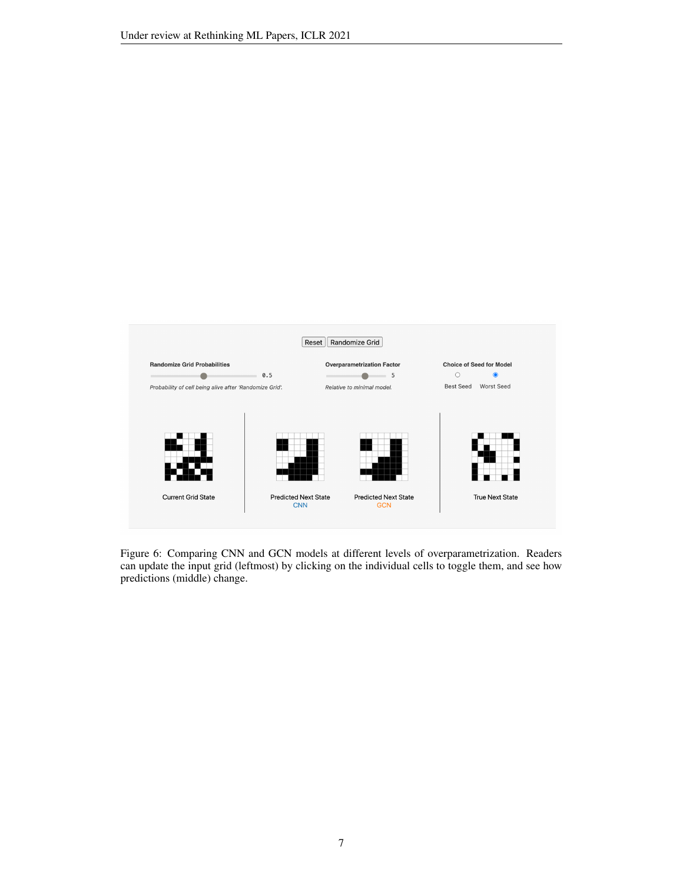

<span id="page-6-0"></span>Figure 6: Comparing CNN and GCN models at different levels of overparametrization. Readers can update the input grid (leftmost) by clicking on the individual cells to toggle them, and see how predictions (middle) change.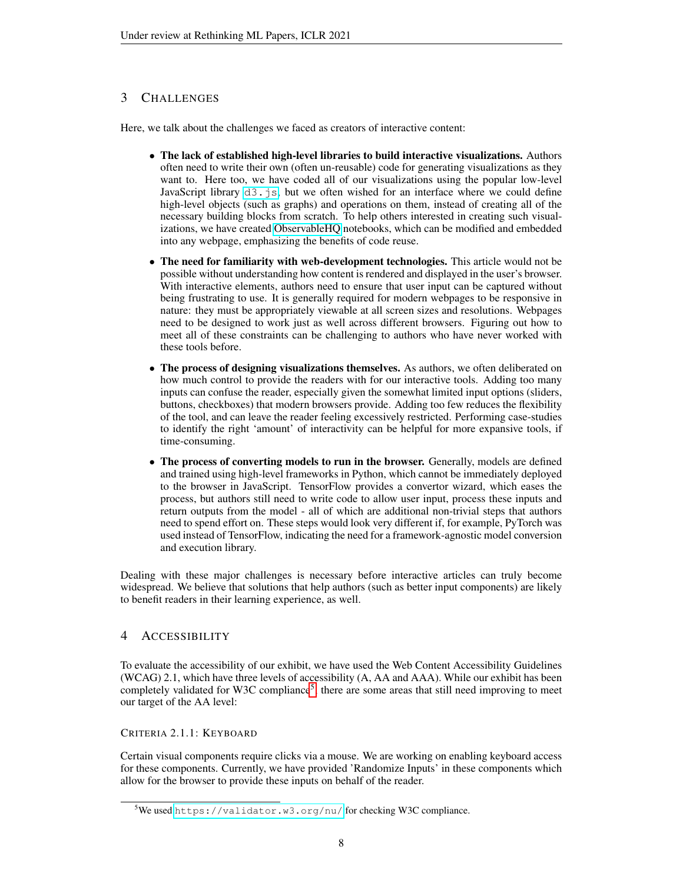# <span id="page-7-0"></span>3 CHALLENGES

Here, we talk about the challenges we faced as creators of interactive content:

- The lack of established high-level libraries to build interactive visualizations. Authors often need to write their own (often un-reusable) code for generating visualizations as they want to. Here too, we have coded all of our visualizations using the popular low-level JavaScript library  $d3.$  js, but we often wished for an interface where we could define high-level objects (such as graphs) and operations on them, instead of creating all of the necessary building blocks from scratch. To help others interested in creating such visualizations, we have created [ObservableHQ](https://observablehq.com/) notebooks, which can be modified and embedded into any webpage, emphasizing the benefits of code reuse.
- The need for familiarity with web-development technologies. This article would not be possible without understanding how content is rendered and displayed in the user's browser. With interactive elements, authors need to ensure that user input can be captured without being frustrating to use. It is generally required for modern webpages to be responsive in nature: they must be appropriately viewable at all screen sizes and resolutions. Webpages need to be designed to work just as well across different browsers. Figuring out how to meet all of these constraints can be challenging to authors who have never worked with these tools before.
- The process of designing visualizations themselves. As authors, we often deliberated on how much control to provide the readers with for our interactive tools. Adding too many inputs can confuse the reader, especially given the somewhat limited input options (sliders, buttons, checkboxes) that modern browsers provide. Adding too few reduces the flexibility of the tool, and can leave the reader feeling excessively restricted. Performing case-studies to identify the right 'amount' of interactivity can be helpful for more expansive tools, if time-consuming.
- The process of converting models to run in the browser. Generally, models are defined and trained using high-level frameworks in Python, which cannot be immediately deployed to the browser in JavaScript. TensorFlow provides a convertor wizard, which eases the process, but authors still need to write code to allow user input, process these inputs and return outputs from the model - all of which are additional non-trivial steps that authors need to spend effort on. These steps would look very different if, for example, PyTorch was used instead of TensorFlow, indicating the need for a framework-agnostic model conversion and execution library.

Dealing with these major challenges is necessary before interactive articles can truly become widespread. We believe that solutions that help authors (such as better input components) are likely to benefit readers in their learning experience, as well.

# <span id="page-7-1"></span>4 ACCESSIBILITY

To evaluate the accessibility of our exhibit, we have used the Web Content Accessibility Guidelines (WCAG) 2.1, which have three levels of accessibility (A, AA and AAA). While our exhibit has been completely validated for W3C compliance<sup>[5](#page-7-2)</sup>, there are some areas that still need improving to meet our target of the AA level:

## CRITERIA 2.1.1: KEYBOARD

Certain visual components require clicks via a mouse. We are working on enabling keyboard access for these components. Currently, we have provided 'Randomize Inputs' in these components which allow for the browser to provide these inputs on behalf of the reader.

<span id="page-7-2"></span><sup>5</sup>We used <https://validator.w3.org/nu/> for checking W3C compliance.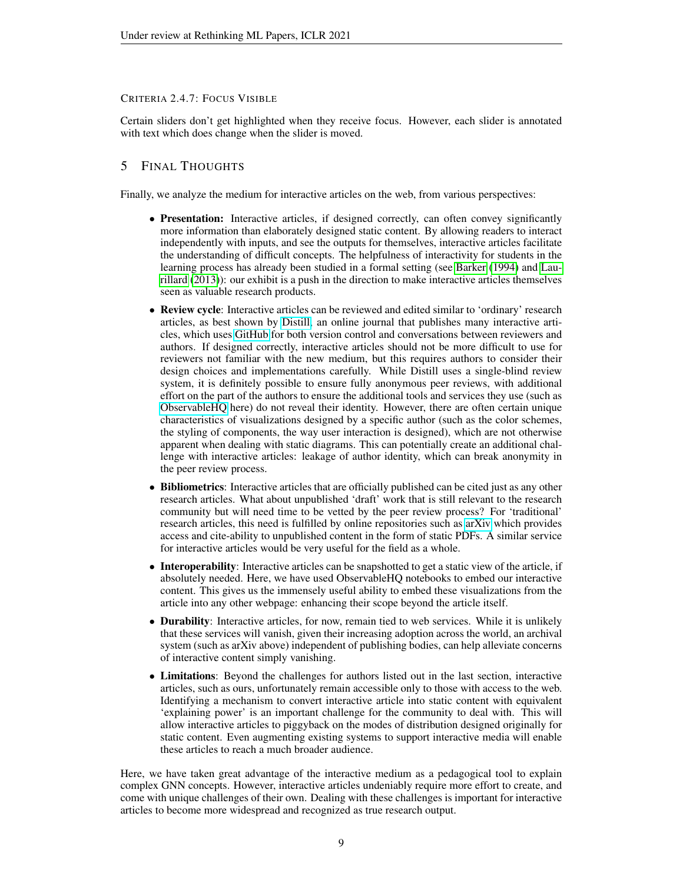## CRITERIA 2.4.7: FOCUS VISIBLE

Certain sliders don't get highlighted when they receive focus. However, each slider is annotated with text which does change when the slider is moved.

# <span id="page-8-0"></span>5 FINAL THOUGHTS

Finally, we analyze the medium for interactive articles on the web, from various perspectives:

- Presentation: Interactive articles, if designed correctly, can often convey significantly more information than elaborately designed static content. By allowing readers to interact independently with inputs, and see the outputs for themselves, interactive articles facilitate the understanding of difficult concepts. The helpfulness of interactivity for students in the learning process has already been studied in a formal setting (see [Barker](#page-9-9) [\(1994\)](#page-9-9) and [Lau](#page-9-10)[rillard](#page-9-10) [\(2013\)](#page-9-10)): our exhibit is a push in the direction to make interactive articles themselves seen as valuable research products.
- Review cycle: Interactive articles can be reviewed and edited similar to 'ordinary' research articles, as best shown by [Distill,](https://distill.pub/) an online journal that publishes many interactive articles, which uses [GitHub](https://github.com/) for both version control and conversations between reviewers and authors. If designed correctly, interactive articles should not be more difficult to use for reviewers not familiar with the new medium, but this requires authors to consider their design choices and implementations carefully. While Distill uses a single-blind review system, it is definitely possible to ensure fully anonymous peer reviews, with additional effort on the part of the authors to ensure the additional tools and services they use (such as [ObservableHQ](https://observablehq.com/) here) do not reveal their identity. However, there are often certain unique characteristics of visualizations designed by a specific author (such as the color schemes, the styling of components, the way user interaction is designed), which are not otherwise apparent when dealing with static diagrams. This can potentially create an additional challenge with interactive articles: leakage of author identity, which can break anonymity in the peer review process.
- Bibliometrics: Interactive articles that are officially published can be cited just as any other research articles. What about unpublished 'draft' work that is still relevant to the research community but will need time to be vetted by the peer review process? For 'traditional' research articles, this need is fulfilled by online repositories such as [arXiv](https://arxiv.org/) which provides access and cite-ability to unpublished content in the form of static PDFs. A similar service for interactive articles would be very useful for the field as a whole.
- Interoperability: Interactive articles can be snapshotted to get a static view of the article, if absolutely needed. Here, we have used ObservableHQ notebooks to embed our interactive content. This gives us the immensely useful ability to embed these visualizations from the article into any other webpage: enhancing their scope beyond the article itself.
- **Durability**: Interactive articles, for now, remain tied to web services. While it is unlikely that these services will vanish, given their increasing adoption across the world, an archival system (such as arXiv above) independent of publishing bodies, can help alleviate concerns of interactive content simply vanishing.
- Limitations: Beyond the challenges for authors listed out in the last section, interactive articles, such as ours, unfortunately remain accessible only to those with access to the web. Identifying a mechanism to convert interactive article into static content with equivalent 'explaining power' is an important challenge for the community to deal with. This will allow interactive articles to piggyback on the modes of distribution designed originally for static content. Even augmenting existing systems to support interactive media will enable these articles to reach a much broader audience.

Here, we have taken great advantage of the interactive medium as a pedagogical tool to explain complex GNN concepts. However, interactive articles undeniably require more effort to create, and come with unique challenges of their own. Dealing with these challenges is important for interactive articles to become more widespread and recognized as true research output.